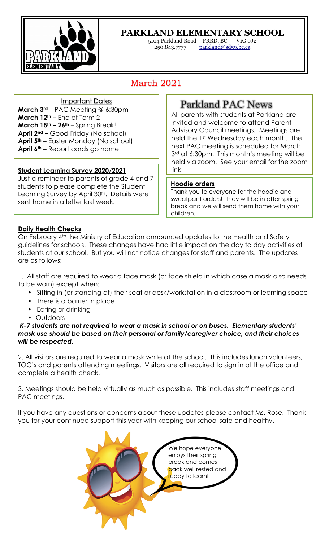

L

## **PARKLAND ELEMENTARY SCHOOL**

5104 Parkland Road PRRD, BC V1G 0J2 250.843.7777 parkland@sd59.bc.ca

# March 2021

#### Important Dates

**March 3rd** – PAC Meeting @ 6:30pm **March 12th –** End of Term 2 **March 15th – 26th** – Spring Break! **April 2nd –** Good Friday (No school) **April 5th –** Easter Monday (No school) **April 6th –** Report cards go home

## **Student Learning Survey 2020/2021** | link.

Just a reminder to parents of grade 4 and 7 students to please complete the Student Learning Survey by April 30<sup>th</sup>. Details were sent home in a letter last week.

## Parkland PAC News

All parents with students at Parkland are invited and welcome to attend Parent Advisory Council meetings. Meetings are held the 1st Wednesday each month. The next PAC meeting is scheduled for March 3<sup>rd</sup> at 6:30pm. This month's meeting will be held via zoom. See your email for the zoom

## **Hoodie orders**

Thank you to everyone for the hoodie and sweatpant orders! They will be in after spring break and we will send them home with your children.

## **Daily Health Checks**

On February 4th the Ministry of Education announced updates to the Health and Safety guidelines for schools. These changes have had little impact on the day to day activities of students at our school. But you will not notice changes for staff and parents. The updates are as follows:

1. All staff are required to wear a face mask (or face shield in which case a mask also needs to be worn) except when:

- Sitting in (or standing at) their seat or desk/workstation in a classroom or learning space
- There is a barrier in place
- Eating or drinking
- Outdoors

*K-7 students are not required to wear a mask in school or on buses. Elementary students' mask use should be based on their personal or family/caregiver choice, and their choices will be respected.*

2. All visitors are required to wear a mask while at the school. This includes lunch volunteers, TOC's and parents attending meetings. Visitors are all required to sign in at the office and complete a health check.

3. Meetings should be held virtually as much as possible. This includes staff meetings and PAC meetings.

If you have any questions or concerns about these updates please contact Ms. Rose. Thank you for your continued support this year with keeping our school safe and healthy.